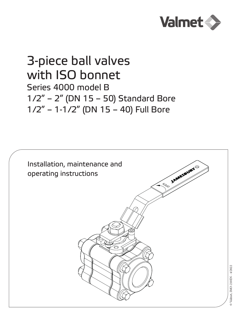

# 3-piece ball valves with ISO bonnet Series 4000 model B 1/2" – 2" (DN 15 – 50) Standard Bore 1/2" – 1-1/2" (DN 15 – 40) Full Bore

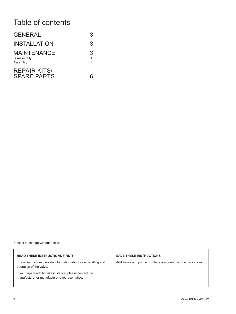# Table of contents

| <b>GENERAL</b>                                | 3                        |
|-----------------------------------------------|--------------------------|
| <b>INSTALLATION</b>                           | 3                        |
| <b>MAINTENANCE</b><br>Disassembly<br>Assembly | 3<br>$\overline{4}$<br>4 |
| <b>REPAIR KITS/</b><br><b>SPARE PARTS</b>     |                          |

Subject to change without notice.

#### **READ THESE INSTRUCTIONS FIRST!**

These instructions provide information about safe handling and operation of the valve.

If you require additional assistance, please contact the manufacturer or manufacturer's representative.

#### **SAVE THESE INSTRUCTIONS!**

Addresses and phone numbers are printed on the back cover.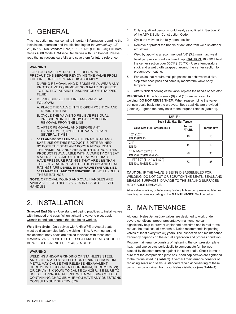### 1. GENERAL

This instruction manual contains important information regarding the installation, operation and troubleshooting for the *Jamesbury* 1/2" – 2" (DN 15 – 50) Standard Bore, 1/2" – 1-1/2" (DN 15 – 40) Full Bore Series 4000 Model B 3-Piece Ball Valves with ISO Bonnet. Please read the instructions carefully and save them for future reference.

#### **WARNING**

FOR YOUR SAFETY, TAKE THE FOLLOWING PRECAUTIONS BEFORE REMOVING THE VALVE FROM THE LINE, OR BEFORE ANY DISASSEMBLY.

- 1. DURING REMOVAL AND DISASSEMBLY, WEAR ANY PROTECTIVE EQUIPMENT NORMALLY REQUIRED TO PROTECT AGAINST DISCHARGE OF TRAPPED FLUID.
- 2. DEPRESSURIZE THE LINE AND VALVE AS FOLLOWS:
	- A. PLACE THE VALVE IN THE OPEN POSITION AND DRAIN THE LINE.
	- B. CYCLE THE VALVE TO RELIEVE RESIDUAL PRESSURE IN THE BODY CAVITY BEFORE REMOVAL FROM THE LINE.
	- C. AFTER REMOVAL, AND BEFORE ANY DISASSEMBLY, CYCLE THE VALVE AGAIN SEVERAL TIMES.
- **3. SEAT AND BODY RATINGS** THE PRACTICAL AND SAFE USE OF THIS PRODUCT IS DETERMINED BY BOTH THE SEAT AND BODY RATING. READ THE NAME TAG AND CHECK BOTH RATINGS. THIS PRODUCT IS AVAILABLE WITH A VARIETY OF SEAT MATERIALS. SOME OF THE SEAT MATERIALS HAVE PRESSURE RATINGS THAT ARE **LESS THAN** THE BODY RATINGS. ALL OF THE BODY AND SEAT RATINGS ARE **DEPENDENT ON VALVE TYPE AND SIZE, SEAT MATERIAL AND TEMPERATURE**. DO NOT EXCEED THESE RATINGS.

**NOTE:** OPTIONAL ROUND AND OVAL HANDLES ARE AVAILABLE FOR THESE VALVES IN PLACE OF LEVER HANDLES.

## 2. INSTALLATION

**Screwed End Style** - Use standard piping practices to install valves with threaded end caps. When tightening valve to pipe, apply wrench to end cap nearest the pipe being worked.

**Weld End Style** - Only valves with UHMWPE or Acetal seats must be disassembled before welding in line. A warning tag and replacement body seals are affixed to valves with these seat materials. VALVES WITH OTHER SEAT MATERIALS SHOULD BE WELDED IN-LINE FULLY ASSEMBLED.

#### **WARNING**

WELDING AND/OR GRINDING OF STAINLESS STEEL AND OTHER ALLOY STEELS CONTAINING CHROMIUM METAL MAY CAUSE THE RELEASE HEXAVALENT CHROMIUM. HEXAVALENT CHROMIUM, CHROMIUM(VI) OR CR(VI), IS KNOWN TO CAUSE CANCER. BE SURE TO USE ALL APPROPRIATE PPE WHEN WELDING METALS CONTAINING CHROMIUM. IF YOU HAVE ANY QUESTIONS CONSULT YOUR SUPERVISOR.

- 1. Only a qualified person should weld, as outlined in Section IX of the ASME Boiler Construction Code.
- 2. Cycle the valve to the fully open position.
- 3. Remove or protect the handle or actuator from weld splatter or arc strikes.
- 4. Weld by applying a recommended 1/8" (3.2 mm) max. weld bead per pass around each end cap. **CAUTION: DO NOT** heat the center section over 350˚F (176.7˚C). Use a temperature stick and a wet cloth wrapped around the center section to prevent overheating.
- 5. For welds that require multiple passes to achieve weld size, stop after each pass and carefully monitor the valve body temperature.
- 6. After sufficient cooling of the valve, replace the handle or actuator.

**IMPORTANT:** If the body seals (6) and (18) are removed for welding, **DO NOT REUSE THEM.** When reassembling the valve, put new seals back into the grooves. Body seal kits are provided in (Table 5). Tighten the body bolts to the torques listed in (Table 1).

| <b>TABLE 1</b>                                                                    |                                 |            |  |  |  |
|-----------------------------------------------------------------------------------|---------------------------------|------------|--|--|--|
| Body Bolt / Hex. Nut Torque                                                       |                                 |            |  |  |  |
| Valve Size Full Port Size In ()                                                   | <b>Torque</b><br><b>FT</b> •LBS | Torque N•m |  |  |  |
| $1/2$ "" $(1/2)$ "")<br>DN 15 (DN 15)                                             | 10                              | 13         |  |  |  |
| $3/4$ ""<br><b>DN 20</b>                                                          | 14                              | 19         |  |  |  |
| $1^{\prime\prime\prime\prime}$ & 1-1/4"" (3/4"" & 1"")<br>DN 25 & 32 (DN 20 & 25) | 26                              | 35         |  |  |  |
| $1-1/2$ "" & 2"" $(1-1/4$ "" & $1-1/2$ "")<br>DN 40 & 50 (DN 32 & 40)             | 63                              | 85         |  |  |  |

**CAUTION:** IF THE VALVE IS BEING DISASSEMBLED FOR WELDING, DO NOT CUT OR SCRATCH THE SEATS, SEALS AND SEALING SURFACES. DAMAGE TO THE SEALING SURFACES MAY CAUSE LEAKAGE.

After valve is in line, or before any testing, tighten compression plate hex. head cap screws according to the **MAINTENANCE** Section below.

# 3. MAINTENANCE

Although Neles *Jamesbury* valves are designed to work under severe conditions, proper preventative maintenance can significantly help to prevent unplanned downtime and in real terms reduce the total cost of ownership. Neles recommends inspecting valves at least every five (5) years. The inspection and maintenance frequency depends on the actual application and process condition.

Routine maintenance consists of tightening the compression plate hex. head cap screws periodically to compensate for the wear caused by the stem turning against the stem seals. Check to make sure that the compression plate hex. head cap screws are tightened to the torque listed in **(Table 2)**. Overhaul maintenance consists of replacing seats and seals. A standard repair kit consisting of these parts may be obtained from your Neles distributor **(see Table 4)**.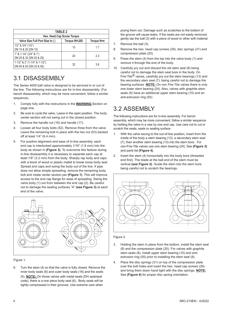| <b>TABLE 2</b><br>Hex. Head Cap Screw Torque                                |    |     |  |  |  |
|-----------------------------------------------------------------------------|----|-----|--|--|--|
| Torque IN <sup>-</sup> LBS<br>Valve Size Full Port Size In ()<br>Torque N•m |    |     |  |  |  |
| $1/2$ " & $3/4$ " $(1/2)$ "<br>DN 15 & 20 (DN 15)                           | 15 | 1.7 |  |  |  |
| $1" 8 1 - 1/4" (3/4" 8 1")$<br>DN 25 & 32 (DN 20 & 25)                      | 20 | 2.3 |  |  |  |
| $1-1/2$ " & 2" $(1-1/4$ " & $1-1/2$ ")<br>DN 40 & 50 (DN 32 & 40)           | 32 | 3.6 |  |  |  |

### 3.1 DISASSEMBLY

The Series 4000 ball valve is designed to be serviced in or out of the line. The following instructions are for in-line disassembly. (For bench disassembly, which may be more convenient, follow a similar sequence).

- 1. Comply fully with the instructions in the **WARNING** Section on page one.
- 2. Be sure to cycle the valve. Leave in the open position. The body center section will not swing out in the closed position.
- 3. Remove the handle nut (16) and handle (17).
- 4. Loosen all four body bolts (52). Remove three from the valve. Leave the remaining bolt in place with the hex nut (53) backed off at least 1/4" (6.4 mm).
- 5. For positive alignment and ease of in-line assembly, each end cap is interlocked approximately 1/16" (1.6 mm) into the body as shown in **(Figure 3)**. To overcome this feature during in-line disassembly it is necessary to separate each cap at least 1/8" (3.2 mm) from the body. Sharply rap body and caps with a block of wood or plastic mallet to break loose body seal. Spread end caps and swing the body out of the line. If pipe does not allow simple spreading, remove the remaining body bolt and rotate center section per **(Figure 1)**. This will improve access to the end cap flange for ease of spreading. Swing the valve body (1) out from between the end cap (2). Be careful not to damage the sealing surfaces "A" **(see Figure 3)** at each end of the valve.



Figure 1.

6. Turn the stem (4) so that the valve is fully closed. Remove the inner body seals (6) and outer body seals (18) and the seats (5). **NOTE:** On those valves with metal seats (DH seat/seal code), there is a one piece body seal (6). Body seals will be tightly compressed in their grooves. Use extreme care when

prying them out. Damage such as scratches to the bottom of the groove will cause leaks. If the seats are not easily removed, gently tap the ball (3) with a piece of wood or other soft material.

- 7. Remove the ball (3).
- 8. Remove the hex. head cap screws (29), disc springs (31) and compression plate (20).
- 9. Press the stem (4) from the top into the valve body (1) and remove it through the end of the body.
- 10. Carefully pry out and discard the old stem seal (8) being careful not to damage the stem seal bore in the body. On Fire-Tite<sup>®</sup> valves, carefully pry out the stem bearings (13) and the secondary stem seal (7), being careful not to damage the bearing surfaces. **NOTE:** On non *Fire-Tite* valves there is only one lower stem bearing (24). Also, valves with graphite stem seals (8) have an additional upper stem bearing (10) and an anti-extrusion ring (55).

### 3.2 ASSEMBLY

The following instructions are for in-line assembly. For bench assembly, which may be more convenient, follow a similar sequence by holding the valve in a vise by one end cap. Use care not to cut or scratch the seats, seals or sealing surface.

- 1. With the valve swung to the out-of-line position, insert from the inside of the body a stem bearing (13), a secondary stem seal (7), then another stem bearing (13) into the stem bore. For non-Fire-Tite valves use one stem bearing (24). See **(Figure 3)**  and parts list **(Figure 4)**.
- 2. Insert the stem (4) horizontally into the body bore (threaded end first). The blade at the ball end of the stem must be vertical **(see Figure 2)**. Guide the stem into the stem bore being careful not to scratch the bearings.



Figure 2.

- 3. Holding the stem in place from the bottom, install the stem seal (8) and the compression plate (20). For valves with graphite stem seals (8), install upper stem bearing (10) and antiextrusion ring (55) prior to installing the stem seal (8).
- 4. Place the disc springs (31) on top of the compression plate over the bolt holes and insert the hex. head cap screws (29) and bring them down hand tight with the disc springs. **NOTE:** See **(Figure 4)** for proper disc spring orientation.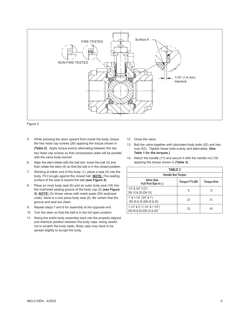



- 5. While pressing the stem upward from inside the body, torque the hex head cap screws (29) applying the torque shown in **(Table 2)**. Apply torque evenly alternating between the two hex head cap screws so that compression plate will be parallel with the valve body bonnet.
- 6. Align the stem blade with the ball slot. Insert the ball (3) and then rotate the stem (4) so that the ball is in the closed position.
- 7. Working at either end of the body (1), place a seat (5) into the body. Fit it snugly against the closed ball. **NOTE:** The sealing surface of the seat is toward the ball **(see Figure 4)**.
- 8. Place an inner body seal (6) and an outer body seal (18) into the machined sealing groove of the body cap (2) **(see Figure 3). NOTE:** On those valves with metal seats (DH seat/seal code), there is a one piece body seal (6). Be certain that the groove and seal are clean.
- 9. Repeat steps 7 and 8 for assembly at the opposite end.
- 10. Turn the stem so that the ball is in the full open position.
- 11. Swing the entire body assembly back into the properly aligned and interlock position between the body caps, being careful not to scratch the body seals. Body caps may have to be spread slightly to accept the body.
- 12. Close the valve.
- 13. Bolt the valve together with lubricated body bolts (52) and hex. nuts (53). Tighten these bolts evenly and alternately. **(See Table 1 for the torques.)**
- 14. Attach the handle (17) and secure it with the handle nut (16) applying the torque shown in **(Table 3)**.

| <b>TABLE 3</b>                                                     |               |            |  |  |  |
|--------------------------------------------------------------------|---------------|------------|--|--|--|
| <b>Handle Nut Torque</b>                                           |               |            |  |  |  |
| <b>Valve Size</b><br>Full Port Size In ()                          | Torque FT.LBS | Torque N•m |  |  |  |
| $1/2$ " & $3/4$ " $(1/2)$ "<br>DN 15 & 20 (DN 15)                  | 9             | 12         |  |  |  |
| $1" 8 1 - 1/4" (3/4" 8 1")$<br>DN 25 & 32 (DN 20 & 25)             | 23            | 31         |  |  |  |
| $1-1/2$ " & 2" $(1-1/4$ " & $1-1/2$ ")<br>DN 40 & 50 (DN 32 & 40)" | 33            | 45         |  |  |  |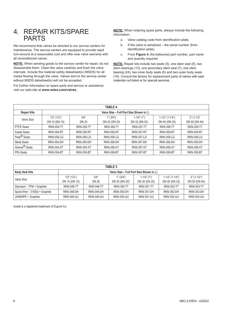### 4. REPAIR KITS/SPARE PARTS

We recommend that valves be directed to our service centers for maintenance. The service centers are equipped to provide rapid turn-around at a reasonable cost and offer new valve warranty with all reconditioned valves.

**NOTE:** When sending goods to the service center for repair, do not disassemble them. Clean the valve carefully and flush the valve internals. Include the material safety datasheet(s) (MSDS) for all media flowing through the valve. Valves sent to the service center without MSDS datasheet(s) will not be accepted.

For further information on spare parts and service or assistance visit our web-site at **www.neles.com/valves**.

**NOTE:** When ordering spare parts, always include the following information:

- a. Valve catalog code from identification plate,
- b. If the valve is serialized the serial number (from identification plate)
- c. From **Figure 4**, the ballooned part number, part name and quantity required

**NOTE:** Repair kits include two seats (5), one stem seal (8), two stem bearings (13), one secondary stem seal (7), one stem bearing (24), two inner body seals (6) and two outer body seals (18). Consult the factory for replacement parts of valves with seat materials not listed or for special services. .

| <b>TABLE 4</b>            |                                         |                   |                   |                   |                        |                   |
|---------------------------|-----------------------------------------|-------------------|-------------------|-------------------|------------------------|-------------------|
| <b>Repair Kits</b>        | Valve Size - Full Port Size Shown in () |                   |                   |                   |                        |                   |
| Valve Size                | $1/2$ " $(1/2)$ "                       | 3/4"              | 1" (3/4")         | $1-1/4$ " (1")    | $1-1/2$ " $(1-1/4)$ ") | $2" (1-1/2"$      |
|                           | DN 15 (DN 15)                           | DN 20             | DN 25 (DN 20)     | DN 32 (DN 25)     | DN 40 (DN 32)          | DN 50 (DN 40)     |
| <b>PTFE Seats</b>         | <b>RKN-354-TT</b>                       | <b>RKN-355-TT</b> | <b>RKN-356-TT</b> | <b>RKN-357-TT</b> | <b>RKN-358-TT</b>      | <b>RKN-359-TT</b> |
| <b>Acetal Seats</b>       | <b>RKN-354-RT</b>                       | <b>RKN-355-RT</b> | <b>RKN-356-RT</b> | <b>RKN-357-RT</b> | <b>RKN-358-RT</b>      | <b>RKN-359-RT</b> |
| Peek <sup>®</sup> Seats   | <b>RKN-354-LG</b>                       | <b>RKN-355-LG</b> | <b>RKN-356-LG</b> | <b>RKN-357-LG</b> | <b>RKN-358-LG</b>      | <b>RKN-359-LG</b> |
| <b>Metal Seats</b>        | <b>RKN-354-DH</b>                       | <b>RKN-355-DH</b> | <b>RKN-356-DH</b> | <b>RKN-357-DH</b> | <b>RKN-358-DH</b>      | <b>RKN-359-DH</b> |
| Xtreme <sup>®</sup> Seats | <b>RKN-354-XT</b>                       | <b>RKN-355-XT</b> | <b>RKN-356-XT</b> | <b>RKN-357-XT</b> | <b>RKN-358-XT</b>      | <b>RKN-359-XT</b> |
| <b>PFA Seats</b>          | <b>RKN-354-BT</b>                       | <b>RKN-355-BT</b> | <b>RKN-356-BT</b> | <b>RKN-357-BT</b> | <b>RKN-358-BT</b>      | <b>RKN-359-BT</b> |

| <b>TABLE 5</b>                |                                         |                   |                   |                   |                    |                   |
|-------------------------------|-----------------------------------------|-------------------|-------------------|-------------------|--------------------|-------------------|
| <b>Body Seal Kits</b>         | Valve Size - Full Port Size Shown in () |                   |                   |                   |                    |                   |
| Valve Size                    | $1/2$ " $(1/2)$ "                       | 3/4"              | 1" (3/4")         | $1 - 1/4$ " (1")  | $1-1/2$ " (1-1/4") | $2" (1-1/2")$     |
|                               | DN 15 (DN 15)                           | DN 20             | DN 25 (DN 20)"    | DN 32 (DN 25)     | DN 40 (DN 32)      | DN 50 (DN 40)     |
| Standard - TFM + Graphite     | <b>RKN-348-TT</b>                       | <b>RKN-349-TT</b> | <b>RKN-350-TT</b> | <b>RKN-351-TT</b> | <b>RKN-352-TT</b>  | <b>RKN-353-TT</b> |
| Spiral Wnd - 316SS + Graphite | <b>RKN-348-DH</b>                       | <b>RKN-349-DH</b> | <b>RKN-350-DH</b> | <b>RKN-351-DH</b> | <b>RKN-352-DH</b>  | <b>RKN-353-DH</b> |
| UHMWPE + Graphite             | <b>RKN-348-UU</b>                       | <b>RKN-349-UU</b> | <b>RKN-350-UU</b> | <b>RKN-351-UU</b> | <b>RKN-352-UU</b>  | <b>RKN-353-UU</b> |

Acetal is a registered trademark of Dupont Co.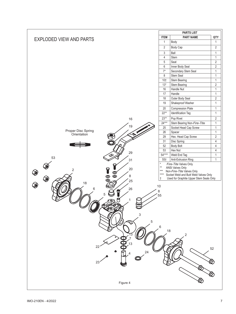